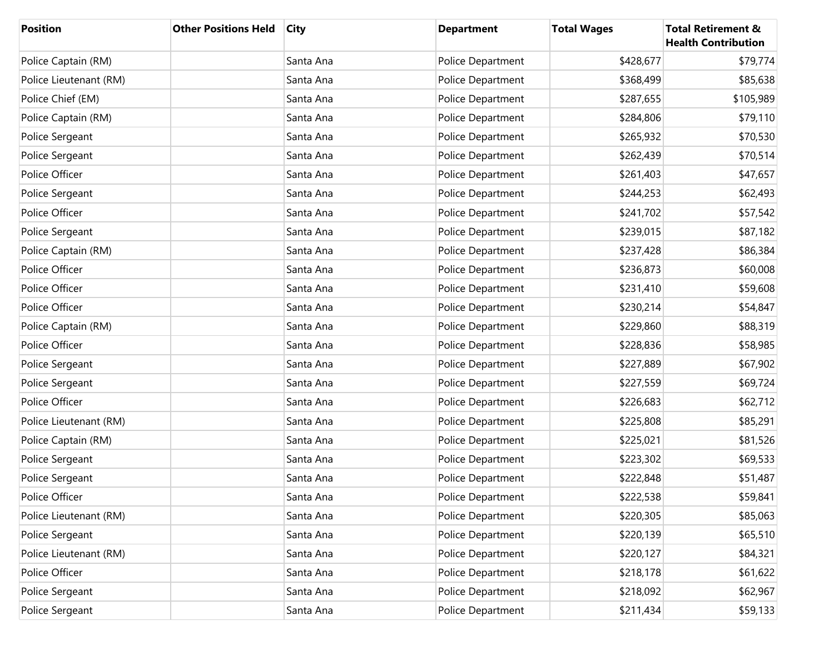| <b>Position</b>        | <b>Other Positions Held</b> | <b>City</b> | <b>Department</b> | <b>Total Wages</b> | <b>Total Retirement &amp;</b><br><b>Health Contribution</b> |
|------------------------|-----------------------------|-------------|-------------------|--------------------|-------------------------------------------------------------|
| Police Captain (RM)    |                             | Santa Ana   | Police Department | \$428,677          | \$79,774                                                    |
| Police Lieutenant (RM) |                             | Santa Ana   | Police Department | \$368,499          | \$85,638                                                    |
| Police Chief (EM)      |                             | Santa Ana   | Police Department | \$287,655          | \$105,989                                                   |
| Police Captain (RM)    |                             | Santa Ana   | Police Department | \$284,806          | \$79,110                                                    |
| Police Sergeant        |                             | Santa Ana   | Police Department | \$265,932          | \$70,530                                                    |
| Police Sergeant        |                             | Santa Ana   | Police Department | \$262,439          | \$70,514                                                    |
| Police Officer         |                             | Santa Ana   | Police Department | \$261,403          | \$47,657                                                    |
| Police Sergeant        |                             | Santa Ana   | Police Department | \$244,253          | \$62,493                                                    |
| Police Officer         |                             | Santa Ana   | Police Department | \$241,702          | \$57,542                                                    |
| Police Sergeant        |                             | Santa Ana   | Police Department | \$239,015          | \$87,182                                                    |
| Police Captain (RM)    |                             | Santa Ana   | Police Department | \$237,428          | \$86,384                                                    |
| Police Officer         |                             | Santa Ana   | Police Department | \$236,873          | \$60,008                                                    |
| Police Officer         |                             | Santa Ana   | Police Department | \$231,410          | \$59,608                                                    |
| Police Officer         |                             | Santa Ana   | Police Department | \$230,214          | \$54,847                                                    |
| Police Captain (RM)    |                             | Santa Ana   | Police Department | \$229,860          | \$88,319                                                    |
| Police Officer         |                             | Santa Ana   | Police Department | \$228,836          | \$58,985                                                    |
| Police Sergeant        |                             | Santa Ana   | Police Department | \$227,889          | \$67,902                                                    |
| Police Sergeant        |                             | Santa Ana   | Police Department | \$227,559          | \$69,724                                                    |
| Police Officer         |                             | Santa Ana   | Police Department | \$226,683          | \$62,712                                                    |
| Police Lieutenant (RM) |                             | Santa Ana   | Police Department | \$225,808          | \$85,291                                                    |
| Police Captain (RM)    |                             | Santa Ana   | Police Department | \$225,021          | \$81,526                                                    |
| Police Sergeant        |                             | Santa Ana   | Police Department | \$223,302          | \$69,533                                                    |
| Police Sergeant        |                             | Santa Ana   | Police Department | \$222,848          | \$51,487                                                    |
| Police Officer         |                             | Santa Ana   | Police Department | \$222,538          | \$59,841                                                    |
| Police Lieutenant (RM) |                             | Santa Ana   | Police Department | \$220,305          | \$85,063                                                    |
| Police Sergeant        |                             | Santa Ana   | Police Department | \$220,139          | \$65,510                                                    |
| Police Lieutenant (RM) |                             | Santa Ana   | Police Department | \$220,127          | \$84,321                                                    |
| Police Officer         |                             | Santa Ana   | Police Department | \$218,178          | \$61,622                                                    |
| Police Sergeant        |                             | Santa Ana   | Police Department | \$218,092          | \$62,967                                                    |
| Police Sergeant        |                             | Santa Ana   | Police Department | \$211,434          | \$59,133                                                    |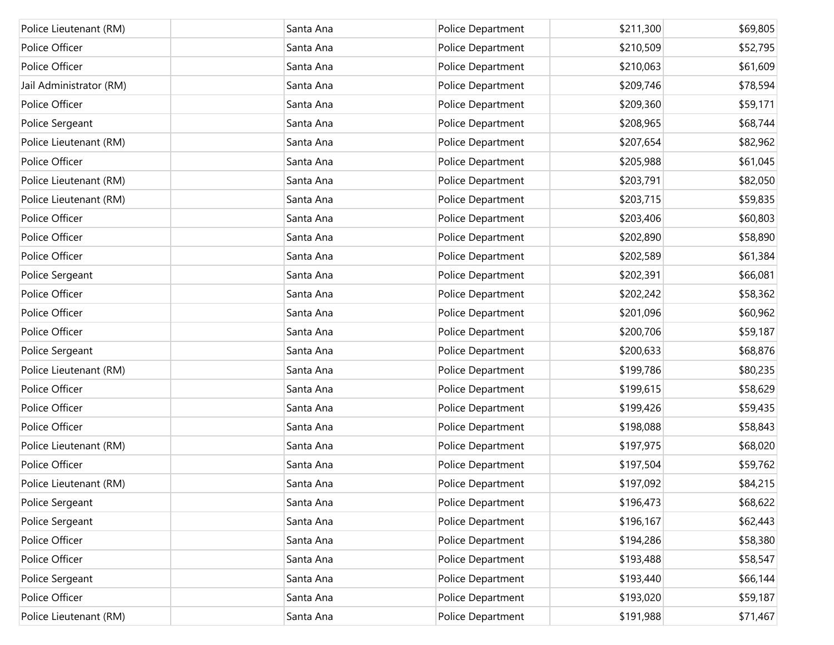| Police Lieutenant (RM)  | Santa Ana | Police Department | \$211,300 | \$69,805 |
|-------------------------|-----------|-------------------|-----------|----------|
| Police Officer          | Santa Ana | Police Department | \$210,509 | \$52,795 |
| Police Officer          | Santa Ana | Police Department | \$210,063 | \$61,609 |
| Jail Administrator (RM) | Santa Ana | Police Department | \$209,746 | \$78,594 |
| Police Officer          | Santa Ana | Police Department | \$209,360 | \$59,171 |
| Police Sergeant         | Santa Ana | Police Department | \$208,965 | \$68,744 |
| Police Lieutenant (RM)  | Santa Ana | Police Department | \$207,654 | \$82,962 |
| Police Officer          | Santa Ana | Police Department | \$205,988 | \$61,045 |
| Police Lieutenant (RM)  | Santa Ana | Police Department | \$203,791 | \$82,050 |
| Police Lieutenant (RM)  | Santa Ana | Police Department | \$203,715 | \$59,835 |
| Police Officer          | Santa Ana | Police Department | \$203,406 | \$60,803 |
| Police Officer          | Santa Ana | Police Department | \$202,890 | \$58,890 |
| Police Officer          | Santa Ana | Police Department | \$202,589 | \$61,384 |
| Police Sergeant         | Santa Ana | Police Department | \$202,391 | \$66,081 |
| Police Officer          | Santa Ana | Police Department | \$202,242 | \$58,362 |
| Police Officer          | Santa Ana | Police Department | \$201,096 | \$60,962 |
| Police Officer          | Santa Ana | Police Department | \$200,706 | \$59,187 |
| Police Sergeant         | Santa Ana | Police Department | \$200,633 | \$68,876 |
| Police Lieutenant (RM)  | Santa Ana | Police Department | \$199,786 | \$80,235 |
| Police Officer          | Santa Ana | Police Department | \$199,615 | \$58,629 |
| Police Officer          | Santa Ana | Police Department | \$199,426 | \$59,435 |
| Police Officer          | Santa Ana | Police Department | \$198,088 | \$58,843 |
| Police Lieutenant (RM)  | Santa Ana | Police Department | \$197,975 | \$68,020 |
| Police Officer          | Santa Ana | Police Department | \$197,504 | \$59,762 |
| Police Lieutenant (RM)  | Santa Ana | Police Department | \$197,092 | \$84,215 |
| Police Sergeant         | Santa Ana | Police Department | \$196,473 | \$68,622 |
| Police Sergeant         | Santa Ana | Police Department | \$196,167 | \$62,443 |
| Police Officer          | Santa Ana | Police Department | \$194,286 | \$58,380 |
| Police Officer          | Santa Ana | Police Department | \$193,488 | \$58,547 |
| Police Sergeant         | Santa Ana | Police Department | \$193,440 | \$66,144 |
| Police Officer          | Santa Ana | Police Department | \$193,020 | \$59,187 |
| Police Lieutenant (RM)  | Santa Ana | Police Department | \$191,988 | \$71,467 |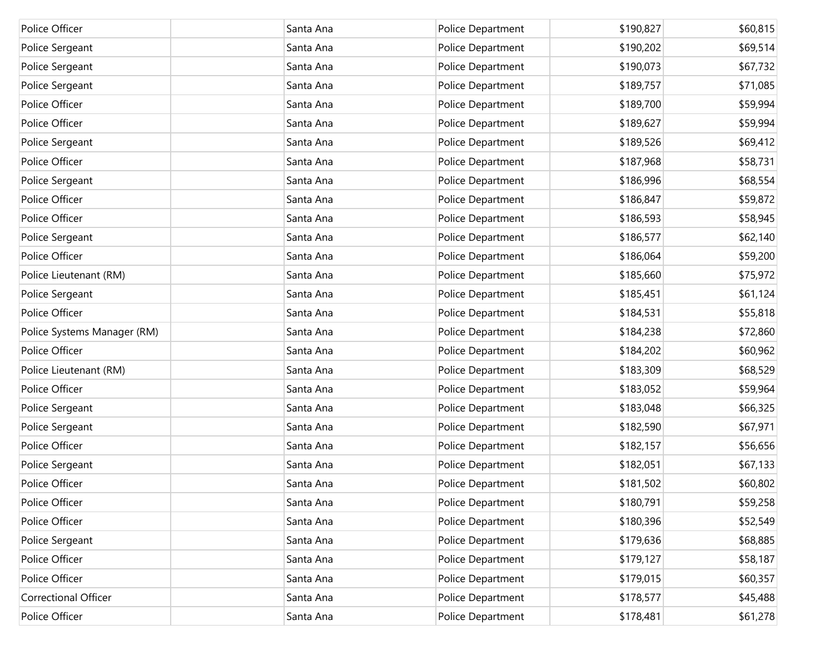| Police Officer              | Santa Ana | Police Department | \$190,827 | \$60,815 |
|-----------------------------|-----------|-------------------|-----------|----------|
| Police Sergeant             | Santa Ana | Police Department | \$190,202 | \$69,514 |
| Police Sergeant             | Santa Ana | Police Department | \$190,073 | \$67,732 |
| Police Sergeant             | Santa Ana | Police Department | \$189,757 | \$71,085 |
| Police Officer              | Santa Ana | Police Department | \$189,700 | \$59,994 |
| Police Officer              | Santa Ana | Police Department | \$189,627 | \$59,994 |
| Police Sergeant             | Santa Ana | Police Department | \$189,526 | \$69,412 |
| Police Officer              | Santa Ana | Police Department | \$187,968 | \$58,731 |
| Police Sergeant             | Santa Ana | Police Department | \$186,996 | \$68,554 |
| Police Officer              | Santa Ana | Police Department | \$186,847 | \$59,872 |
| Police Officer              | Santa Ana | Police Department | \$186,593 | \$58,945 |
| Police Sergeant             | Santa Ana | Police Department | \$186,577 | \$62,140 |
| Police Officer              | Santa Ana | Police Department | \$186,064 | \$59,200 |
| Police Lieutenant (RM)      | Santa Ana | Police Department | \$185,660 | \$75,972 |
| Police Sergeant             | Santa Ana | Police Department | \$185,451 | \$61,124 |
| Police Officer              | Santa Ana | Police Department | \$184,531 | \$55,818 |
| Police Systems Manager (RM) | Santa Ana | Police Department | \$184,238 | \$72,860 |
| Police Officer              | Santa Ana | Police Department | \$184,202 | \$60,962 |
| Police Lieutenant (RM)      | Santa Ana | Police Department | \$183,309 | \$68,529 |
| Police Officer              | Santa Ana | Police Department | \$183,052 | \$59,964 |
| Police Sergeant             | Santa Ana | Police Department | \$183,048 | \$66,325 |
| Police Sergeant             | Santa Ana | Police Department | \$182,590 | \$67,971 |
| Police Officer              | Santa Ana | Police Department | \$182,157 | \$56,656 |
| Police Sergeant             | Santa Ana | Police Department | \$182,051 | \$67,133 |
| Police Officer              | Santa Ana | Police Department | \$181,502 | \$60,802 |
| Police Officer              | Santa Ana | Police Department | \$180,791 | \$59,258 |
| Police Officer              | Santa Ana | Police Department | \$180,396 | \$52,549 |
| Police Sergeant             | Santa Ana | Police Department | \$179,636 | \$68,885 |
| Police Officer              | Santa Ana | Police Department | \$179,127 | \$58,187 |
| Police Officer              | Santa Ana | Police Department | \$179,015 | \$60,357 |
| Correctional Officer        | Santa Ana | Police Department | \$178,577 | \$45,488 |
| Police Officer              | Santa Ana | Police Department | \$178,481 | \$61,278 |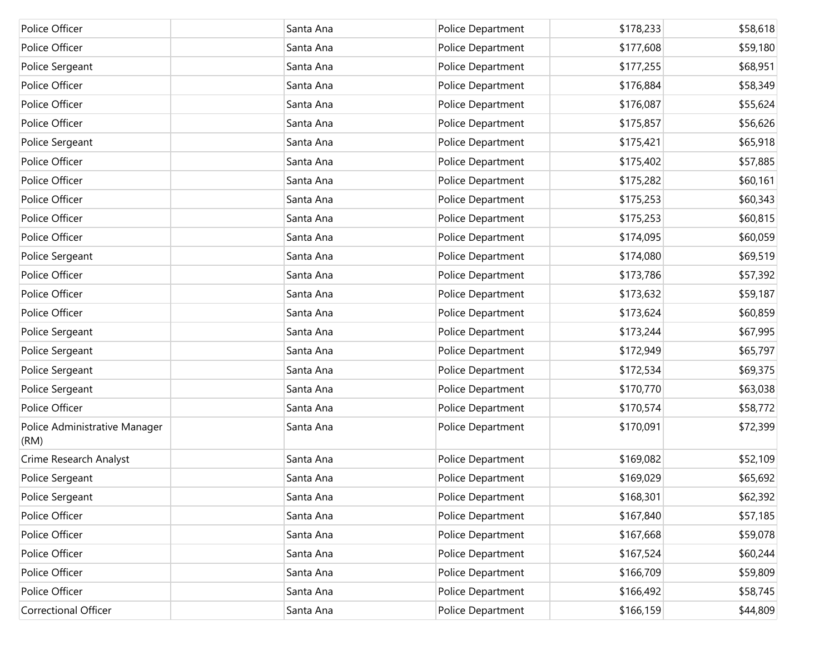| Police Officer                        | Santa Ana | Police Department | \$178,233 | \$58,618 |
|---------------------------------------|-----------|-------------------|-----------|----------|
| Police Officer                        | Santa Ana | Police Department | \$177,608 | \$59,180 |
| Police Sergeant                       | Santa Ana | Police Department | \$177,255 | \$68,951 |
| Police Officer                        | Santa Ana | Police Department | \$176,884 | \$58,349 |
| Police Officer                        | Santa Ana | Police Department | \$176,087 | \$55,624 |
| Police Officer                        | Santa Ana | Police Department | \$175,857 | \$56,626 |
| Police Sergeant                       | Santa Ana | Police Department | \$175,421 | \$65,918 |
| Police Officer                        | Santa Ana | Police Department | \$175,402 | \$57,885 |
| Police Officer                        | Santa Ana | Police Department | \$175,282 | \$60,161 |
| Police Officer                        | Santa Ana | Police Department | \$175,253 | \$60,343 |
| Police Officer                        | Santa Ana | Police Department | \$175,253 | \$60,815 |
| Police Officer                        | Santa Ana | Police Department | \$174,095 | \$60,059 |
| Police Sergeant                       | Santa Ana | Police Department | \$174,080 | \$69,519 |
| Police Officer                        | Santa Ana | Police Department | \$173,786 | \$57,392 |
| Police Officer                        | Santa Ana | Police Department | \$173,632 | \$59,187 |
| Police Officer                        | Santa Ana | Police Department | \$173,624 | \$60,859 |
| Police Sergeant                       | Santa Ana | Police Department | \$173,244 | \$67,995 |
| Police Sergeant                       | Santa Ana | Police Department | \$172,949 | \$65,797 |
| Police Sergeant                       | Santa Ana | Police Department | \$172,534 | \$69,375 |
| Police Sergeant                       | Santa Ana | Police Department | \$170,770 | \$63,038 |
| Police Officer                        | Santa Ana | Police Department | \$170,574 | \$58,772 |
| Police Administrative Manager<br>(RM) | Santa Ana | Police Department | \$170,091 | \$72,399 |
| Crime Research Analyst                | Santa Ana | Police Department | \$169,082 | \$52,109 |
| Police Sergeant                       | Santa Ana | Police Department | \$169,029 | \$65,692 |
| Police Sergeant                       | Santa Ana | Police Department | \$168,301 | \$62,392 |
| Police Officer                        | Santa Ana | Police Department | \$167,840 | \$57,185 |
| Police Officer                        | Santa Ana | Police Department | \$167,668 | \$59,078 |
| Police Officer                        | Santa Ana | Police Department | \$167,524 | \$60,244 |
| Police Officer                        | Santa Ana | Police Department | \$166,709 | \$59,809 |
| Police Officer                        | Santa Ana | Police Department | \$166,492 | \$58,745 |
| <b>Correctional Officer</b>           | Santa Ana | Police Department | \$166,159 | \$44,809 |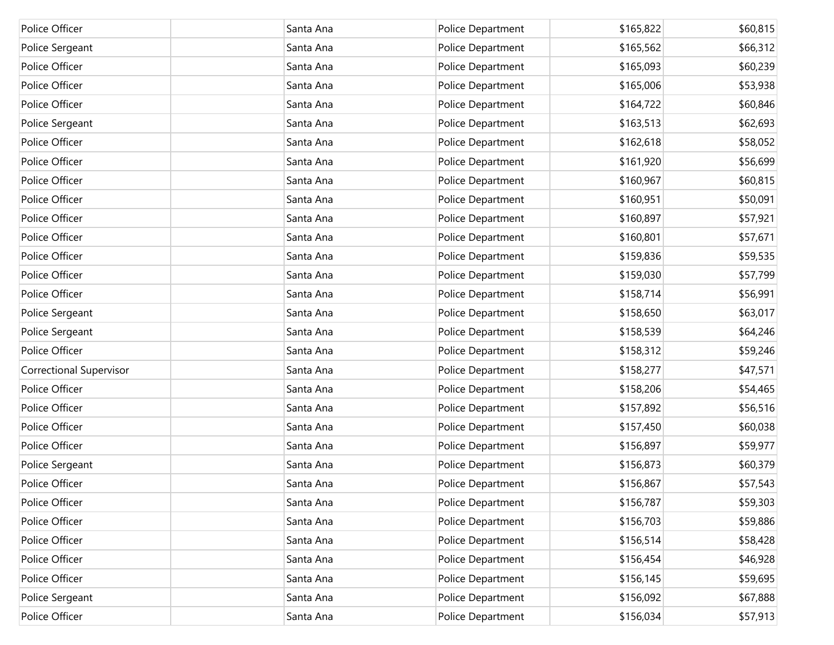| Police Officer                 | Santa Ana | Police Department | \$165,822 | \$60,815 |
|--------------------------------|-----------|-------------------|-----------|----------|
| Police Sergeant                | Santa Ana | Police Department | \$165,562 | \$66,312 |
| Police Officer                 | Santa Ana | Police Department | \$165,093 | \$60,239 |
| Police Officer                 | Santa Ana | Police Department | \$165,006 | \$53,938 |
| Police Officer                 | Santa Ana | Police Department | \$164,722 | \$60,846 |
| Police Sergeant                | Santa Ana | Police Department | \$163,513 | \$62,693 |
| Police Officer                 | Santa Ana | Police Department | \$162,618 | \$58,052 |
| Police Officer                 | Santa Ana | Police Department | \$161,920 | \$56,699 |
| Police Officer                 | Santa Ana | Police Department | \$160,967 | \$60,815 |
| Police Officer                 | Santa Ana | Police Department | \$160,951 | \$50,091 |
| Police Officer                 | Santa Ana | Police Department | \$160,897 | \$57,921 |
| Police Officer                 | Santa Ana | Police Department | \$160,801 | \$57,671 |
| Police Officer                 | Santa Ana | Police Department | \$159,836 | \$59,535 |
| Police Officer                 | Santa Ana | Police Department | \$159,030 | \$57,799 |
| Police Officer                 | Santa Ana | Police Department | \$158,714 | \$56,991 |
| Police Sergeant                | Santa Ana | Police Department | \$158,650 | \$63,017 |
| Police Sergeant                | Santa Ana | Police Department | \$158,539 | \$64,246 |
| Police Officer                 | Santa Ana | Police Department | \$158,312 | \$59,246 |
| <b>Correctional Supervisor</b> | Santa Ana | Police Department | \$158,277 | \$47,571 |
| Police Officer                 | Santa Ana | Police Department | \$158,206 | \$54,465 |
| Police Officer                 | Santa Ana | Police Department | \$157,892 | \$56,516 |
| Police Officer                 | Santa Ana | Police Department | \$157,450 | \$60,038 |
| Police Officer                 | Santa Ana | Police Department | \$156,897 | \$59,977 |
| Police Sergeant                | Santa Ana | Police Department | \$156,873 | \$60,379 |
| Police Officer                 | Santa Ana | Police Department | \$156,867 | \$57,543 |
| Police Officer                 | Santa Ana | Police Department | \$156,787 | \$59,303 |
| Police Officer                 | Santa Ana | Police Department | \$156,703 | \$59,886 |
| Police Officer                 | Santa Ana | Police Department | \$156,514 | \$58,428 |
| Police Officer                 | Santa Ana | Police Department | \$156,454 | \$46,928 |
| Police Officer                 | Santa Ana | Police Department | \$156,145 | \$59,695 |
| Police Sergeant                | Santa Ana | Police Department | \$156,092 | \$67,888 |
| Police Officer                 | Santa Ana | Police Department | \$156,034 | \$57,913 |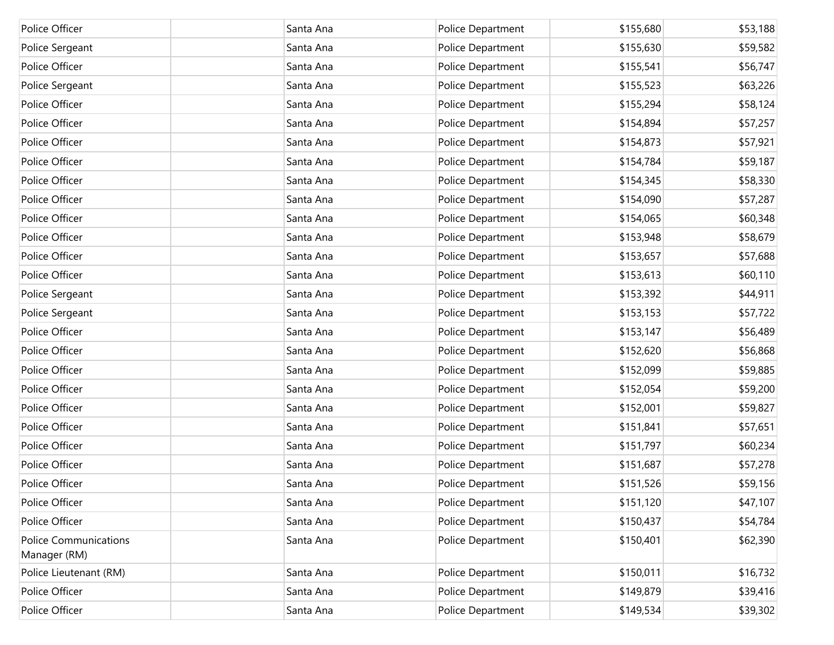| Police Officer                               | Santa Ana | Police Department | \$155,680 | \$53,188 |
|----------------------------------------------|-----------|-------------------|-----------|----------|
| Police Sergeant                              | Santa Ana | Police Department | \$155,630 | \$59,582 |
| Police Officer                               | Santa Ana | Police Department | \$155,541 | \$56,747 |
| Police Sergeant                              | Santa Ana | Police Department | \$155,523 | \$63,226 |
| Police Officer                               | Santa Ana | Police Department | \$155,294 | \$58,124 |
| Police Officer                               | Santa Ana | Police Department | \$154,894 | \$57,257 |
| Police Officer                               | Santa Ana | Police Department | \$154,873 | \$57,921 |
| Police Officer                               | Santa Ana | Police Department | \$154,784 | \$59,187 |
| Police Officer                               | Santa Ana | Police Department | \$154,345 | \$58,330 |
| Police Officer                               | Santa Ana | Police Department | \$154,090 | \$57,287 |
| Police Officer                               | Santa Ana | Police Department | \$154,065 | \$60,348 |
| Police Officer                               | Santa Ana | Police Department | \$153,948 | \$58,679 |
| Police Officer                               | Santa Ana | Police Department | \$153,657 | \$57,688 |
| Police Officer                               | Santa Ana | Police Department | \$153,613 | \$60,110 |
| Police Sergeant                              | Santa Ana | Police Department | \$153,392 | \$44,911 |
| Police Sergeant                              | Santa Ana | Police Department | \$153,153 | \$57,722 |
| Police Officer                               | Santa Ana | Police Department | \$153,147 | \$56,489 |
| Police Officer                               | Santa Ana | Police Department | \$152,620 | \$56,868 |
| Police Officer                               | Santa Ana | Police Department | \$152,099 | \$59,885 |
| Police Officer                               | Santa Ana | Police Department | \$152,054 | \$59,200 |
| Police Officer                               | Santa Ana | Police Department | \$152,001 | \$59,827 |
| Police Officer                               | Santa Ana | Police Department | \$151,841 | \$57,651 |
| Police Officer                               | Santa Ana | Police Department | \$151,797 | \$60,234 |
| Police Officer                               | Santa Ana | Police Department | \$151,687 | \$57,278 |
| Police Officer                               | Santa Ana | Police Department | \$151,526 | \$59,156 |
| Police Officer                               | Santa Ana | Police Department | \$151,120 | \$47,107 |
| Police Officer                               | Santa Ana | Police Department | \$150,437 | \$54,784 |
| <b>Police Communications</b><br>Manager (RM) | Santa Ana | Police Department | \$150,401 | \$62,390 |
| Police Lieutenant (RM)                       | Santa Ana | Police Department | \$150,011 | \$16,732 |
| Police Officer                               | Santa Ana | Police Department | \$149,879 | \$39,416 |
| Police Officer                               | Santa Ana | Police Department | \$149,534 | \$39,302 |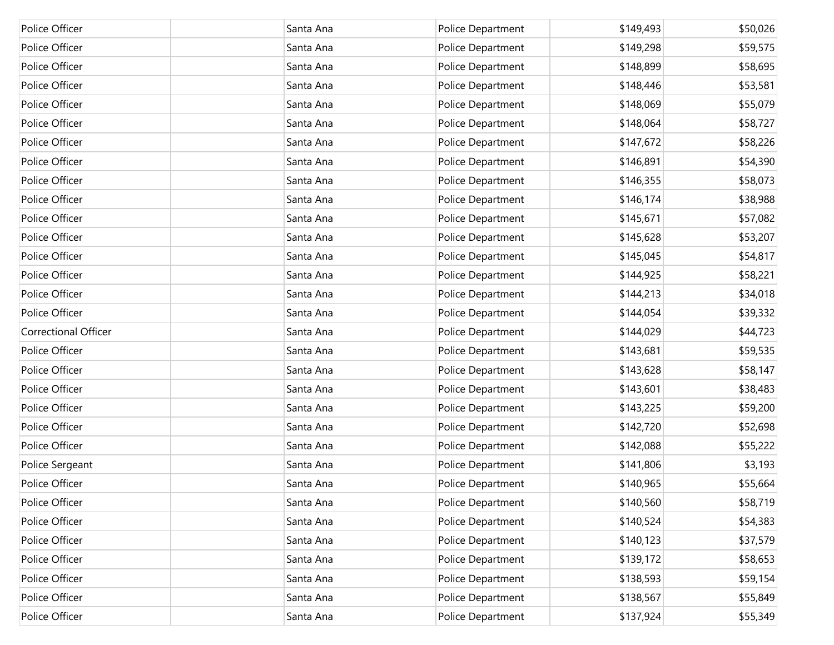| Police Officer              | Santa Ana | Police Department | \$149,493 | \$50,026 |
|-----------------------------|-----------|-------------------|-----------|----------|
| Police Officer              | Santa Ana | Police Department | \$149,298 | \$59,575 |
| Police Officer              | Santa Ana | Police Department | \$148,899 | \$58,695 |
| Police Officer              | Santa Ana | Police Department | \$148,446 | \$53,581 |
| Police Officer              | Santa Ana | Police Department | \$148,069 | \$55,079 |
| Police Officer              | Santa Ana | Police Department | \$148,064 | \$58,727 |
| Police Officer              | Santa Ana | Police Department | \$147,672 | \$58,226 |
| Police Officer              | Santa Ana | Police Department | \$146,891 | \$54,390 |
| Police Officer              | Santa Ana | Police Department | \$146,355 | \$58,073 |
| Police Officer              | Santa Ana | Police Department | \$146,174 | \$38,988 |
| Police Officer              | Santa Ana | Police Department | \$145,671 | \$57,082 |
| Police Officer              | Santa Ana | Police Department | \$145,628 | \$53,207 |
| Police Officer              | Santa Ana | Police Department | \$145,045 | \$54,817 |
| Police Officer              | Santa Ana | Police Department | \$144,925 | \$58,221 |
| Police Officer              | Santa Ana | Police Department | \$144,213 | \$34,018 |
| Police Officer              | Santa Ana | Police Department | \$144,054 | \$39,332 |
| <b>Correctional Officer</b> | Santa Ana | Police Department | \$144,029 | \$44,723 |
| Police Officer              | Santa Ana | Police Department | \$143,681 | \$59,535 |
| Police Officer              | Santa Ana | Police Department | \$143,628 | \$58,147 |
| Police Officer              | Santa Ana | Police Department | \$143,601 | \$38,483 |
| Police Officer              | Santa Ana | Police Department | \$143,225 | \$59,200 |
| Police Officer              | Santa Ana | Police Department | \$142,720 | \$52,698 |
| Police Officer              | Santa Ana | Police Department | \$142,088 | \$55,222 |
| Police Sergeant             | Santa Ana | Police Department | \$141,806 | \$3,193  |
| Police Officer              | Santa Ana | Police Department | \$140,965 | \$55,664 |
| Police Officer              | Santa Ana | Police Department | \$140,560 | \$58,719 |
| Police Officer              | Santa Ana | Police Department | \$140,524 | \$54,383 |
| Police Officer              | Santa Ana | Police Department | \$140,123 | \$37,579 |
| Police Officer              | Santa Ana | Police Department | \$139,172 | \$58,653 |
| Police Officer              | Santa Ana | Police Department | \$138,593 | \$59,154 |
| Police Officer              | Santa Ana | Police Department | \$138,567 | \$55,849 |
| Police Officer              | Santa Ana | Police Department | \$137,924 | \$55,349 |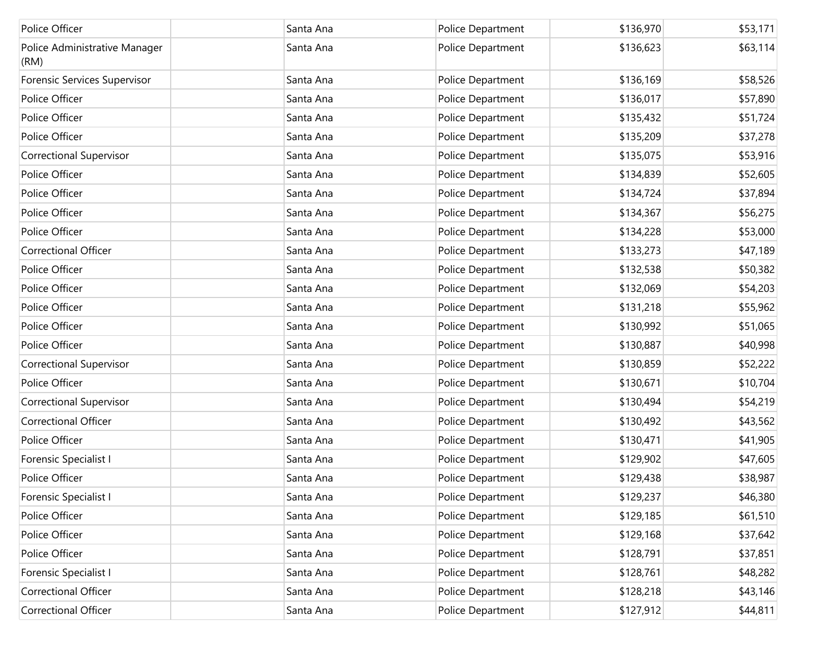| Police Officer                        | Santa Ana | Police Department | \$136,970 | \$53,171 |
|---------------------------------------|-----------|-------------------|-----------|----------|
| Police Administrative Manager<br>(RM) | Santa Ana | Police Department | \$136,623 | \$63,114 |
| Forensic Services Supervisor          | Santa Ana | Police Department | \$136,169 | \$58,526 |
| Police Officer                        | Santa Ana | Police Department | \$136,017 | \$57,890 |
| Police Officer                        | Santa Ana | Police Department | \$135,432 | \$51,724 |
| Police Officer                        | Santa Ana | Police Department | \$135,209 | \$37,278 |
| <b>Correctional Supervisor</b>        | Santa Ana | Police Department | \$135,075 | \$53,916 |
| Police Officer                        | Santa Ana | Police Department | \$134,839 | \$52,605 |
| Police Officer                        | Santa Ana | Police Department | \$134,724 | \$37,894 |
| Police Officer                        | Santa Ana | Police Department | \$134,367 | \$56,275 |
| Police Officer                        | Santa Ana | Police Department | \$134,228 | \$53,000 |
| <b>Correctional Officer</b>           | Santa Ana | Police Department | \$133,273 | \$47,189 |
| Police Officer                        | Santa Ana | Police Department | \$132,538 | \$50,382 |
| Police Officer                        | Santa Ana | Police Department | \$132,069 | \$54,203 |
| Police Officer                        | Santa Ana | Police Department | \$131,218 | \$55,962 |
| Police Officer                        | Santa Ana | Police Department | \$130,992 | \$51,065 |
| Police Officer                        | Santa Ana | Police Department | \$130,887 | \$40,998 |
| <b>Correctional Supervisor</b>        | Santa Ana | Police Department | \$130,859 | \$52,222 |
| Police Officer                        | Santa Ana | Police Department | \$130,671 | \$10,704 |
| <b>Correctional Supervisor</b>        | Santa Ana | Police Department | \$130,494 | \$54,219 |
| Correctional Officer                  | Santa Ana | Police Department | \$130,492 | \$43,562 |
| Police Officer                        | Santa Ana | Police Department | \$130,471 | \$41,905 |
| Forensic Specialist I                 | Santa Ana | Police Department | \$129,902 | \$47,605 |
| Police Officer                        | Santa Ana | Police Department | \$129,438 | \$38,987 |
| Forensic Specialist I                 | Santa Ana | Police Department | \$129,237 | \$46,380 |
| Police Officer                        | Santa Ana | Police Department | \$129,185 | \$61,510 |
| Police Officer                        | Santa Ana | Police Department | \$129,168 | \$37,642 |
| Police Officer                        | Santa Ana | Police Department | \$128,791 | \$37,851 |
| Forensic Specialist I                 | Santa Ana | Police Department | \$128,761 | \$48,282 |
| <b>Correctional Officer</b>           | Santa Ana | Police Department | \$128,218 | \$43,146 |
| Correctional Officer                  | Santa Ana | Police Department | \$127,912 | \$44,811 |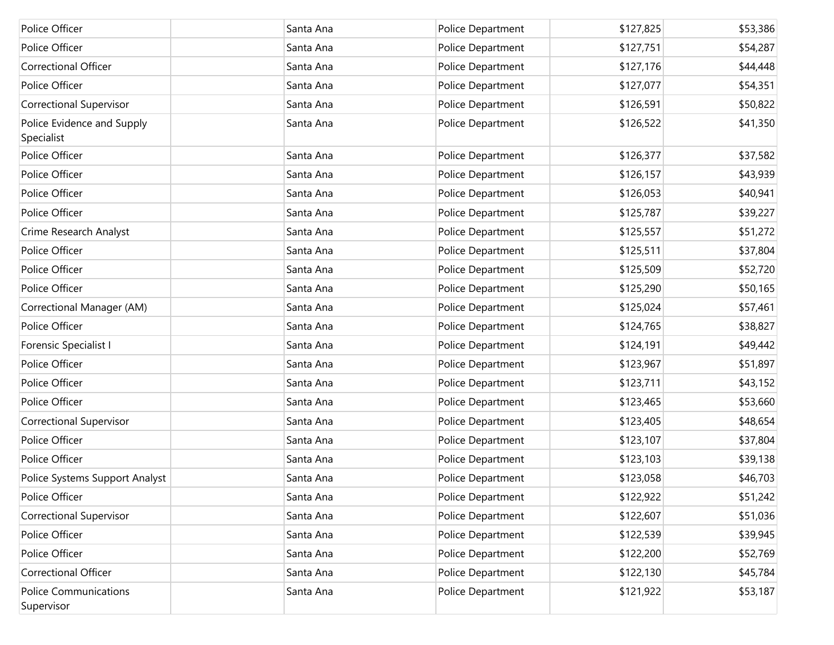| Police Officer                             | Santa Ana | Police Department | \$127,825 | \$53,386 |
|--------------------------------------------|-----------|-------------------|-----------|----------|
| Police Officer                             | Santa Ana | Police Department | \$127,751 | \$54,287 |
| <b>Correctional Officer</b>                | Santa Ana | Police Department | \$127,176 | \$44,448 |
| Police Officer                             | Santa Ana | Police Department | \$127,077 | \$54,351 |
| <b>Correctional Supervisor</b>             | Santa Ana | Police Department | \$126,591 | \$50,822 |
| Police Evidence and Supply<br>Specialist   | Santa Ana | Police Department | \$126,522 | \$41,350 |
| Police Officer                             | Santa Ana | Police Department | \$126,377 | \$37,582 |
| Police Officer                             | Santa Ana | Police Department | \$126,157 | \$43,939 |
| Police Officer                             | Santa Ana | Police Department | \$126,053 | \$40,941 |
| Police Officer                             | Santa Ana | Police Department | \$125,787 | \$39,227 |
| Crime Research Analyst                     | Santa Ana | Police Department | \$125,557 | \$51,272 |
| Police Officer                             | Santa Ana | Police Department | \$125,511 | \$37,804 |
| Police Officer                             | Santa Ana | Police Department | \$125,509 | \$52,720 |
| Police Officer                             | Santa Ana | Police Department | \$125,290 | \$50,165 |
| Correctional Manager (AM)                  | Santa Ana | Police Department | \$125,024 | \$57,461 |
| Police Officer                             | Santa Ana | Police Department | \$124,765 | \$38,827 |
| Forensic Specialist I                      | Santa Ana | Police Department | \$124,191 | \$49,442 |
| Police Officer                             | Santa Ana | Police Department | \$123,967 | \$51,897 |
| Police Officer                             | Santa Ana | Police Department | \$123,711 | \$43,152 |
| Police Officer                             | Santa Ana | Police Department | \$123,465 | \$53,660 |
| <b>Correctional Supervisor</b>             | Santa Ana | Police Department | \$123,405 | \$48,654 |
| Police Officer                             | Santa Ana | Police Department | \$123,107 | \$37,804 |
| Police Officer                             | Santa Ana | Police Department | \$123,103 | \$39,138 |
| Police Systems Support Analyst             | Santa Ana | Police Department | \$123,058 | \$46,703 |
| Police Officer                             | Santa Ana | Police Department | \$122,922 | \$51,242 |
| <b>Correctional Supervisor</b>             | Santa Ana | Police Department | \$122,607 | \$51,036 |
| Police Officer                             | Santa Ana | Police Department | \$122,539 | \$39,945 |
| Police Officer                             | Santa Ana | Police Department | \$122,200 | \$52,769 |
| Correctional Officer                       | Santa Ana | Police Department | \$122,130 | \$45,784 |
| <b>Police Communications</b><br>Supervisor | Santa Ana | Police Department | \$121,922 | \$53,187 |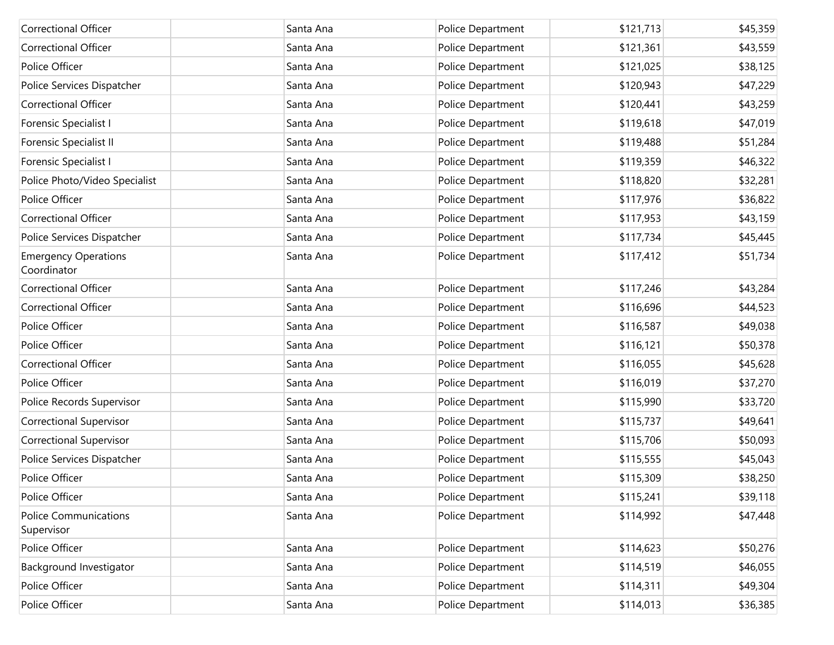| <b>Correctional Officer</b>                | Santa Ana | Police Department | \$121,713 | \$45,359 |
|--------------------------------------------|-----------|-------------------|-----------|----------|
| <b>Correctional Officer</b>                | Santa Ana | Police Department | \$121,361 | \$43,559 |
| Police Officer                             | Santa Ana | Police Department | \$121,025 | \$38,125 |
| Police Services Dispatcher                 | Santa Ana | Police Department | \$120,943 | \$47,229 |
| <b>Correctional Officer</b>                | Santa Ana | Police Department | \$120,441 | \$43,259 |
| Forensic Specialist I                      | Santa Ana | Police Department | \$119,618 | \$47,019 |
| Forensic Specialist II                     | Santa Ana | Police Department | \$119,488 | \$51,284 |
| Forensic Specialist I                      | Santa Ana | Police Department | \$119,359 | \$46,322 |
| Police Photo/Video Specialist              | Santa Ana | Police Department | \$118,820 | \$32,281 |
| Police Officer                             | Santa Ana | Police Department | \$117,976 | \$36,822 |
| <b>Correctional Officer</b>                | Santa Ana | Police Department | \$117,953 | \$43,159 |
| Police Services Dispatcher                 | Santa Ana | Police Department | \$117,734 | \$45,445 |
| <b>Emergency Operations</b><br>Coordinator | Santa Ana | Police Department | \$117,412 | \$51,734 |
| <b>Correctional Officer</b>                | Santa Ana | Police Department | \$117,246 | \$43,284 |
| <b>Correctional Officer</b>                | Santa Ana | Police Department | \$116,696 | \$44,523 |
| Police Officer                             | Santa Ana | Police Department | \$116,587 | \$49,038 |
| Police Officer                             | Santa Ana | Police Department | \$116,121 | \$50,378 |
| <b>Correctional Officer</b>                | Santa Ana | Police Department | \$116,055 | \$45,628 |
| Police Officer                             | Santa Ana | Police Department | \$116,019 | \$37,270 |
| Police Records Supervisor                  | Santa Ana | Police Department | \$115,990 | \$33,720 |
| Correctional Supervisor                    | Santa Ana | Police Department | \$115,737 | \$49,641 |
| <b>Correctional Supervisor</b>             | Santa Ana | Police Department | \$115,706 | \$50,093 |
| Police Services Dispatcher                 | Santa Ana | Police Department | \$115,555 | \$45,043 |
| Police Officer                             | Santa Ana | Police Department | \$115,309 | \$38,250 |
| Police Officer                             | Santa Ana | Police Department | \$115,241 | \$39,118 |
| <b>Police Communications</b><br>Supervisor | Santa Ana | Police Department | \$114,992 | \$47,448 |
| Police Officer                             | Santa Ana | Police Department | \$114,623 | \$50,276 |
| Background Investigator                    | Santa Ana | Police Department | \$114,519 | \$46,055 |
| Police Officer                             | Santa Ana | Police Department | \$114,311 | \$49,304 |
| Police Officer                             | Santa Ana | Police Department | \$114,013 | \$36,385 |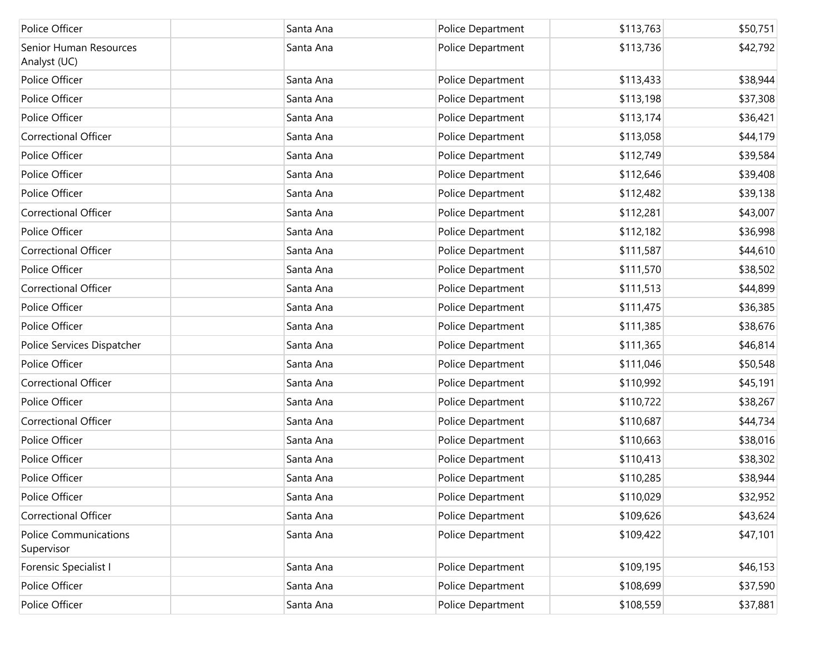| Police Officer                             | Santa Ana | Police Department | \$113,763 | \$50,751 |
|--------------------------------------------|-----------|-------------------|-----------|----------|
| Senior Human Resources<br>Analyst (UC)     | Santa Ana | Police Department | \$113,736 | \$42,792 |
| Police Officer                             | Santa Ana | Police Department | \$113,433 | \$38,944 |
| Police Officer                             | Santa Ana | Police Department | \$113,198 | \$37,308 |
| Police Officer                             | Santa Ana | Police Department | \$113,174 | \$36,421 |
| <b>Correctional Officer</b>                | Santa Ana | Police Department | \$113,058 | \$44,179 |
| Police Officer                             | Santa Ana | Police Department | \$112,749 | \$39,584 |
| Police Officer                             | Santa Ana | Police Department | \$112,646 | \$39,408 |
| Police Officer                             | Santa Ana | Police Department | \$112,482 | \$39,138 |
| <b>Correctional Officer</b>                | Santa Ana | Police Department | \$112,281 | \$43,007 |
| Police Officer                             | Santa Ana | Police Department | \$112,182 | \$36,998 |
| <b>Correctional Officer</b>                | Santa Ana | Police Department | \$111,587 | \$44,610 |
| Police Officer                             | Santa Ana | Police Department | \$111,570 | \$38,502 |
| <b>Correctional Officer</b>                | Santa Ana | Police Department | \$111,513 | \$44,899 |
| Police Officer                             | Santa Ana | Police Department | \$111,475 | \$36,385 |
| Police Officer                             | Santa Ana | Police Department | \$111,385 | \$38,676 |
| Police Services Dispatcher                 | Santa Ana | Police Department | \$111,365 | \$46,814 |
| Police Officer                             | Santa Ana | Police Department | \$111,046 | \$50,548 |
| <b>Correctional Officer</b>                | Santa Ana | Police Department | \$110,992 | \$45,191 |
| Police Officer                             | Santa Ana | Police Department | \$110,722 | \$38,267 |
| <b>Correctional Officer</b>                | Santa Ana | Police Department | \$110,687 | \$44,734 |
| Police Officer                             | Santa Ana | Police Department | \$110,663 | \$38,016 |
| Police Officer                             | Santa Ana | Police Department | \$110,413 | \$38,302 |
| Police Officer                             | Santa Ana | Police Department | \$110,285 | \$38,944 |
| Police Officer                             | Santa Ana | Police Department | \$110,029 | \$32,952 |
| Correctional Officer                       | Santa Ana | Police Department | \$109,626 | \$43,624 |
| <b>Police Communications</b><br>Supervisor | Santa Ana | Police Department | \$109,422 | \$47,101 |
| Forensic Specialist I                      | Santa Ana | Police Department | \$109,195 | \$46,153 |
| Police Officer                             | Santa Ana | Police Department | \$108,699 | \$37,590 |
| Police Officer                             | Santa Ana | Police Department | \$108,559 | \$37,881 |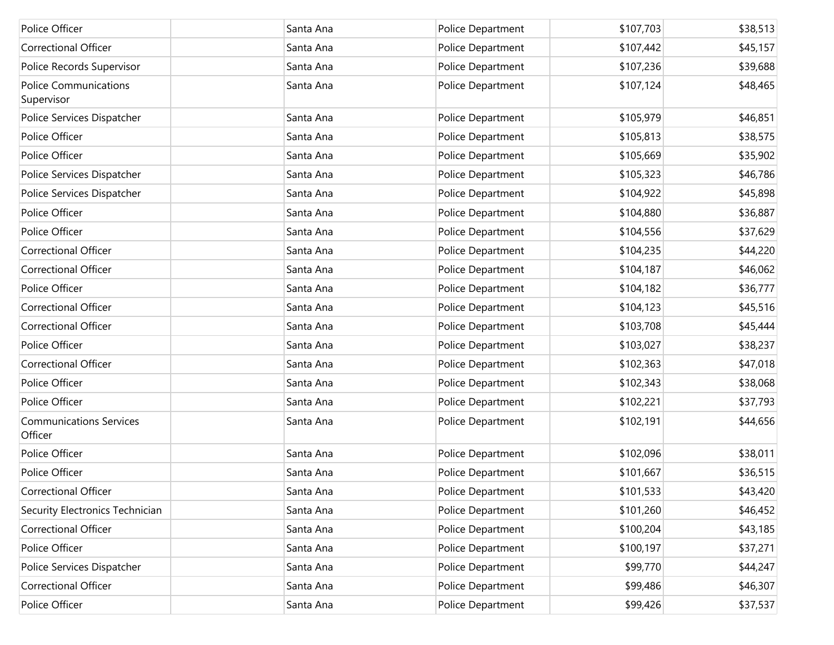| Police Officer                             | Santa Ana | Police Department | \$107,703 | \$38,513 |
|--------------------------------------------|-----------|-------------------|-----------|----------|
| <b>Correctional Officer</b>                | Santa Ana | Police Department | \$107,442 | \$45,157 |
| Police Records Supervisor                  | Santa Ana | Police Department | \$107,236 | \$39,688 |
| <b>Police Communications</b><br>Supervisor | Santa Ana | Police Department | \$107,124 | \$48,465 |
| Police Services Dispatcher                 | Santa Ana | Police Department | \$105,979 | \$46,851 |
| Police Officer                             | Santa Ana | Police Department | \$105,813 | \$38,575 |
| Police Officer                             | Santa Ana | Police Department | \$105,669 | \$35,902 |
| Police Services Dispatcher                 | Santa Ana | Police Department | \$105,323 | \$46,786 |
| Police Services Dispatcher                 | Santa Ana | Police Department | \$104,922 | \$45,898 |
| Police Officer                             | Santa Ana | Police Department | \$104,880 | \$36,887 |
| Police Officer                             | Santa Ana | Police Department | \$104,556 | \$37,629 |
| <b>Correctional Officer</b>                | Santa Ana | Police Department | \$104,235 | \$44,220 |
| Correctional Officer                       | Santa Ana | Police Department | \$104,187 | \$46,062 |
| Police Officer                             | Santa Ana | Police Department | \$104,182 | \$36,777 |
| <b>Correctional Officer</b>                | Santa Ana | Police Department | \$104,123 | \$45,516 |
| <b>Correctional Officer</b>                | Santa Ana | Police Department | \$103,708 | \$45,444 |
| Police Officer                             | Santa Ana | Police Department | \$103,027 | \$38,237 |
| <b>Correctional Officer</b>                | Santa Ana | Police Department | \$102,363 | \$47,018 |
| Police Officer                             | Santa Ana | Police Department | \$102,343 | \$38,068 |
| Police Officer                             | Santa Ana | Police Department | \$102,221 | \$37,793 |
| <b>Communications Services</b><br>Officer  | Santa Ana | Police Department | \$102,191 | \$44,656 |
| Police Officer                             | Santa Ana | Police Department | \$102,096 | \$38,011 |
| Police Officer                             | Santa Ana | Police Department | \$101,667 | \$36,515 |
| Correctional Officer                       | Santa Ana | Police Department | \$101,533 | \$43,420 |
| Security Electronics Technician            | Santa Ana | Police Department | \$101,260 | \$46,452 |
| Correctional Officer                       | Santa Ana | Police Department | \$100,204 | \$43,185 |
| Police Officer                             | Santa Ana | Police Department | \$100,197 | \$37,271 |
| Police Services Dispatcher                 | Santa Ana | Police Department | \$99,770  | \$44,247 |
| <b>Correctional Officer</b>                | Santa Ana | Police Department | \$99,486  | \$46,307 |
| Police Officer                             | Santa Ana | Police Department | \$99,426  | \$37,537 |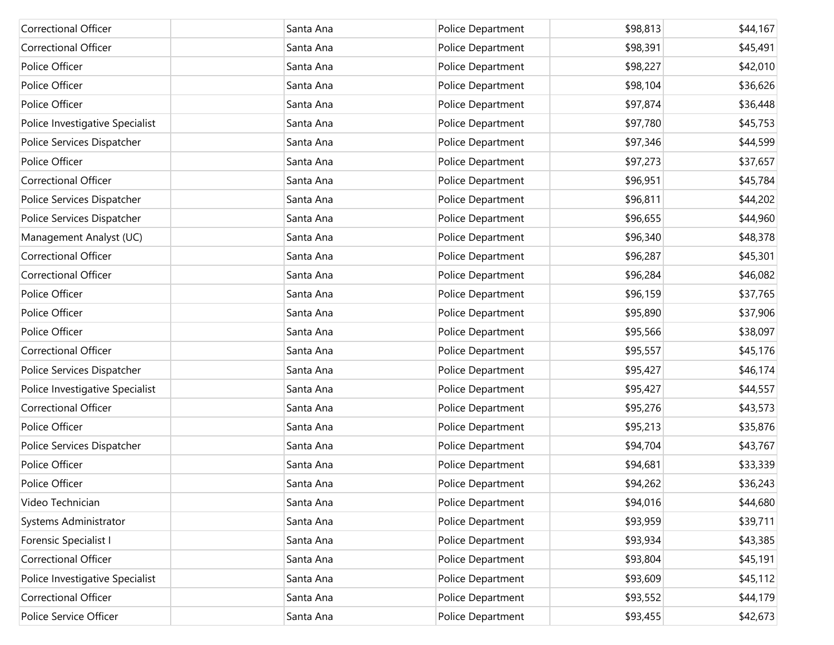| <b>Correctional Officer</b>     | Santa Ana | Police Department | \$98,813 | \$44,167 |
|---------------------------------|-----------|-------------------|----------|----------|
| <b>Correctional Officer</b>     | Santa Ana | Police Department | \$98,391 | \$45,491 |
| Police Officer                  | Santa Ana | Police Department | \$98,227 | \$42,010 |
| Police Officer                  | Santa Ana | Police Department | \$98,104 | \$36,626 |
| Police Officer                  | Santa Ana | Police Department | \$97,874 | \$36,448 |
| Police Investigative Specialist | Santa Ana | Police Department | \$97,780 | \$45,753 |
| Police Services Dispatcher      | Santa Ana | Police Department | \$97,346 | \$44,599 |
| Police Officer                  | Santa Ana | Police Department | \$97,273 | \$37,657 |
| <b>Correctional Officer</b>     | Santa Ana | Police Department | \$96,951 | \$45,784 |
| Police Services Dispatcher      | Santa Ana | Police Department | \$96,811 | \$44,202 |
| Police Services Dispatcher      | Santa Ana | Police Department | \$96,655 | \$44,960 |
| Management Analyst (UC)         | Santa Ana | Police Department | \$96,340 | \$48,378 |
| <b>Correctional Officer</b>     | Santa Ana | Police Department | \$96,287 | \$45,301 |
| <b>Correctional Officer</b>     | Santa Ana | Police Department | \$96,284 | \$46,082 |
| Police Officer                  | Santa Ana | Police Department | \$96,159 | \$37,765 |
| Police Officer                  | Santa Ana | Police Department | \$95,890 | \$37,906 |
| Police Officer                  | Santa Ana | Police Department | \$95,566 | \$38,097 |
| <b>Correctional Officer</b>     | Santa Ana | Police Department | \$95,557 | \$45,176 |
| Police Services Dispatcher      | Santa Ana | Police Department | \$95,427 | \$46,174 |
| Police Investigative Specialist | Santa Ana | Police Department | \$95,427 | \$44,557 |
| <b>Correctional Officer</b>     | Santa Ana | Police Department | \$95,276 | \$43,573 |
| Police Officer                  | Santa Ana | Police Department | \$95,213 | \$35,876 |
| Police Services Dispatcher      | Santa Ana | Police Department | \$94,704 | \$43,767 |
| Police Officer                  | Santa Ana | Police Department | \$94,681 | \$33,339 |
| Police Officer                  | Santa Ana | Police Department | \$94,262 | \$36,243 |
| Video Technician                | Santa Ana | Police Department | \$94,016 | \$44,680 |
| Systems Administrator           | Santa Ana | Police Department | \$93,959 | \$39,711 |
| Forensic Specialist I           | Santa Ana | Police Department | \$93,934 | \$43,385 |
| Correctional Officer            | Santa Ana | Police Department | \$93,804 | \$45,191 |
| Police Investigative Specialist | Santa Ana | Police Department | \$93,609 | \$45,112 |
| Correctional Officer            | Santa Ana | Police Department | \$93,552 | \$44,179 |
| Police Service Officer          | Santa Ana | Police Department | \$93,455 | \$42,673 |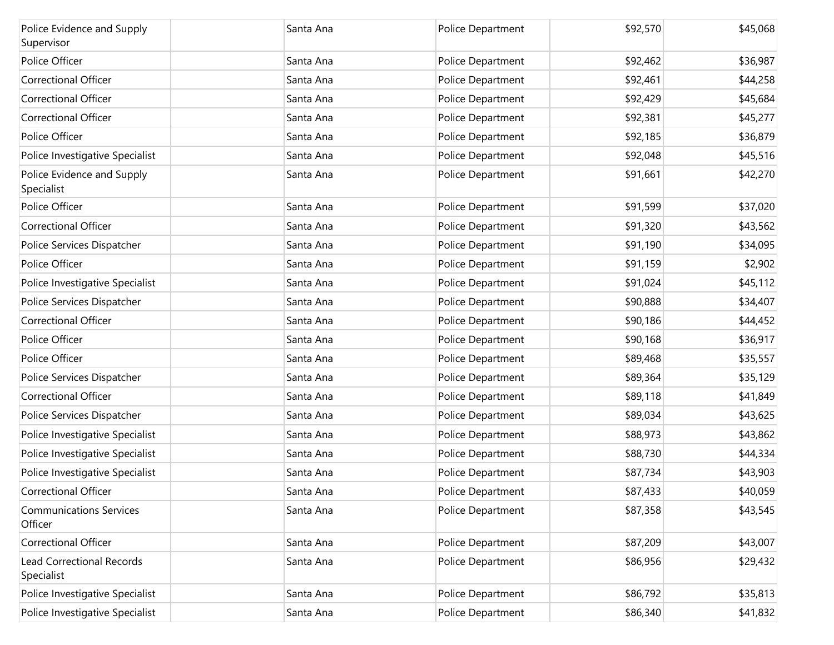| Police Evidence and Supply<br>Supervisor       | Santa Ana | Police Department | \$92,570 | \$45,068 |
|------------------------------------------------|-----------|-------------------|----------|----------|
| Police Officer                                 | Santa Ana | Police Department | \$92,462 | \$36,987 |
| <b>Correctional Officer</b>                    | Santa Ana | Police Department | \$92,461 | \$44,258 |
| <b>Correctional Officer</b>                    | Santa Ana | Police Department | \$92,429 | \$45,684 |
| <b>Correctional Officer</b>                    | Santa Ana | Police Department | \$92,381 | \$45,277 |
| Police Officer                                 | Santa Ana | Police Department | \$92,185 | \$36,879 |
| Police Investigative Specialist                | Santa Ana | Police Department | \$92,048 | \$45,516 |
| Police Evidence and Supply<br>Specialist       | Santa Ana | Police Department | \$91,661 | \$42,270 |
| Police Officer                                 | Santa Ana | Police Department | \$91,599 | \$37,020 |
| <b>Correctional Officer</b>                    | Santa Ana | Police Department | \$91,320 | \$43,562 |
| Police Services Dispatcher                     | Santa Ana | Police Department | \$91,190 | \$34,095 |
| Police Officer                                 | Santa Ana | Police Department | \$91,159 | \$2,902  |
| Police Investigative Specialist                | Santa Ana | Police Department | \$91,024 | \$45,112 |
| Police Services Dispatcher                     | Santa Ana | Police Department | \$90,888 | \$34,407 |
| <b>Correctional Officer</b>                    | Santa Ana | Police Department | \$90,186 | \$44,452 |
| Police Officer                                 | Santa Ana | Police Department | \$90,168 | \$36,917 |
| Police Officer                                 | Santa Ana | Police Department | \$89,468 | \$35,557 |
| Police Services Dispatcher                     | Santa Ana | Police Department | \$89,364 | \$35,129 |
| <b>Correctional Officer</b>                    | Santa Ana | Police Department | \$89,118 | \$41,849 |
| Police Services Dispatcher                     | Santa Ana | Police Department | \$89,034 | \$43,625 |
| Police Investigative Specialist                | Santa Ana | Police Department | \$88,973 | \$43,862 |
| Police Investigative Specialist                | Santa Ana | Police Department | \$88,730 | \$44,334 |
| Police Investigative Specialist                | Santa Ana | Police Department | \$87,734 | \$43,903 |
| Correctional Officer                           | Santa Ana | Police Department | \$87,433 | \$40,059 |
| <b>Communications Services</b><br>Officer      | Santa Ana | Police Department | \$87,358 | \$43,545 |
| Correctional Officer                           | Santa Ana | Police Department | \$87,209 | \$43,007 |
| <b>Lead Correctional Records</b><br>Specialist | Santa Ana | Police Department | \$86,956 | \$29,432 |
| Police Investigative Specialist                | Santa Ana | Police Department | \$86,792 | \$35,813 |
| Police Investigative Specialist                | Santa Ana | Police Department | \$86,340 | \$41,832 |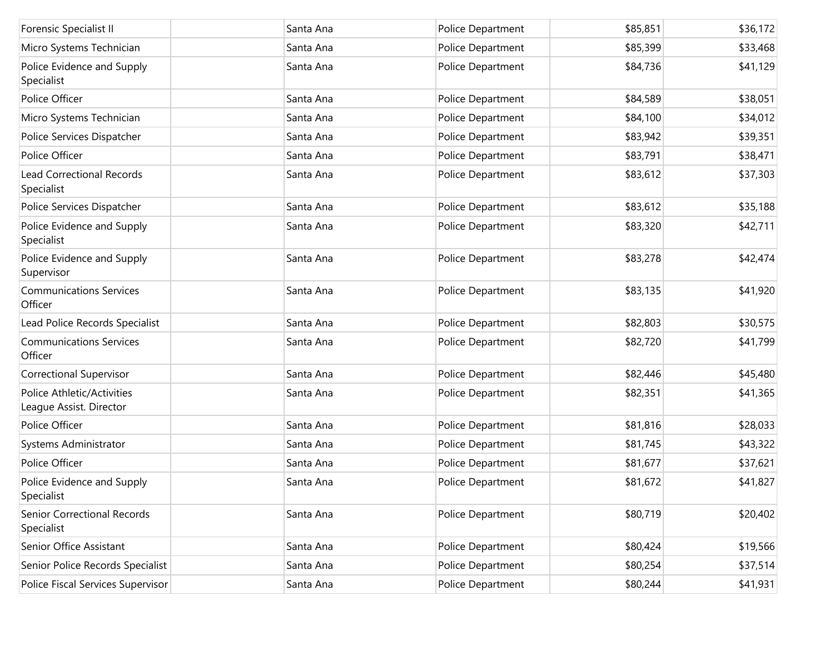| <b>Forensic Specialist II</b>                         | Santa Ana | Police Department | \$85,851 | \$36,172 |
|-------------------------------------------------------|-----------|-------------------|----------|----------|
| Micro Systems Technician                              | Santa Ana | Police Department | \$85,399 | \$33,468 |
| Police Evidence and Supply<br>Specialist              | Santa Ana | Police Department | \$84,736 | \$41,129 |
| Police Officer                                        | Santa Ana | Police Department | \$84,589 | \$38,051 |
| Micro Systems Technician                              | Santa Ana | Police Department | \$84,100 | \$34,012 |
| Police Services Dispatcher                            | Santa Ana | Police Department | \$83,942 | \$39,351 |
| Police Officer                                        | Santa Ana | Police Department | \$83,791 | \$38,471 |
| <b>Lead Correctional Records</b><br>Specialist        | Santa Ana | Police Department | \$83,612 | \$37,303 |
| Police Services Dispatcher                            | Santa Ana | Police Department | \$83,612 | \$35,188 |
| Police Evidence and Supply<br>Specialist              | Santa Ana | Police Department | \$83,320 | \$42,711 |
| Police Evidence and Supply<br>Supervisor              | Santa Ana | Police Department | \$83,278 | \$42,474 |
| <b>Communications Services</b><br>Officer             | Santa Ana | Police Department | \$83,135 | \$41,920 |
| Lead Police Records Specialist                        | Santa Ana | Police Department | \$82,803 | \$30,575 |
| <b>Communications Services</b><br>Officer             | Santa Ana | Police Department | \$82,720 | \$41,799 |
| <b>Correctional Supervisor</b>                        | Santa Ana | Police Department | \$82,446 | \$45,480 |
| Police Athletic/Activities<br>League Assist. Director | Santa Ana | Police Department | \$82,351 | \$41,365 |
| Police Officer                                        | Santa Ana | Police Department | \$81,816 | \$28,033 |
| Systems Administrator                                 | Santa Ana | Police Department | \$81,745 | \$43,322 |
| Police Officer                                        | Santa Ana | Police Department | \$81,677 | \$37,621 |
| Police Evidence and Supply<br>Specialist              | Santa Ana | Police Department | \$81,672 | \$41,827 |
| <b>Senior Correctional Records</b><br>Specialist      | Santa Ana | Police Department | \$80,719 | \$20,402 |
| Senior Office Assistant                               | Santa Ana | Police Department | \$80,424 | \$19,566 |
| Senior Police Records Specialist                      | Santa Ana | Police Department | \$80,254 | \$37,514 |
| Police Fiscal Services Supervisor                     | Santa Ana | Police Department | \$80,244 | \$41,931 |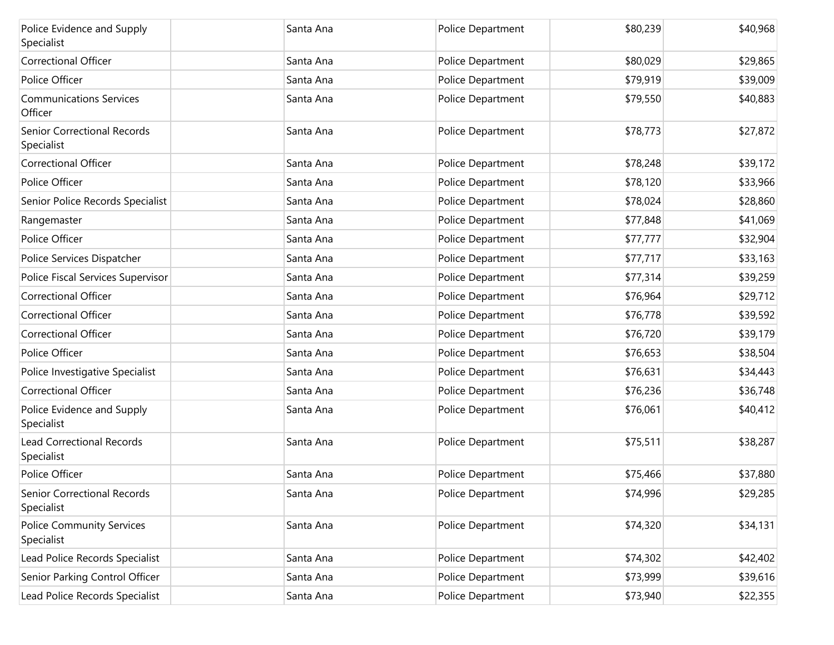| Police Evidence and Supply<br>Specialist       | Santa Ana | Police Department | \$80,239 | \$40,968 |
|------------------------------------------------|-----------|-------------------|----------|----------|
| <b>Correctional Officer</b>                    | Santa Ana | Police Department | \$80,029 | \$29,865 |
| Police Officer                                 | Santa Ana | Police Department | \$79,919 | \$39,009 |
| <b>Communications Services</b><br>Officer      | Santa Ana | Police Department | \$79,550 | \$40,883 |
| Senior Correctional Records<br>Specialist      | Santa Ana | Police Department | \$78,773 | \$27,872 |
| <b>Correctional Officer</b>                    | Santa Ana | Police Department | \$78,248 | \$39,172 |
| Police Officer                                 | Santa Ana | Police Department | \$78,120 | \$33,966 |
| Senior Police Records Specialist               | Santa Ana | Police Department | \$78,024 | \$28,860 |
| Rangemaster                                    | Santa Ana | Police Department | \$77,848 | \$41,069 |
| Police Officer                                 | Santa Ana | Police Department | \$77,777 | \$32,904 |
| Police Services Dispatcher                     | Santa Ana | Police Department | \$77,717 | \$33,163 |
| Police Fiscal Services Supervisor              | Santa Ana | Police Department | \$77,314 | \$39,259 |
| <b>Correctional Officer</b>                    | Santa Ana | Police Department | \$76,964 | \$29,712 |
| <b>Correctional Officer</b>                    | Santa Ana | Police Department | \$76,778 | \$39,592 |
| <b>Correctional Officer</b>                    | Santa Ana | Police Department | \$76,720 | \$39,179 |
| Police Officer                                 | Santa Ana | Police Department | \$76,653 | \$38,504 |
| Police Investigative Specialist                | Santa Ana | Police Department | \$76,631 | \$34,443 |
| Correctional Officer                           | Santa Ana | Police Department | \$76,236 | \$36,748 |
| Police Evidence and Supply<br>Specialist       | Santa Ana | Police Department | \$76,061 | \$40,412 |
| <b>Lead Correctional Records</b><br>Specialist | Santa Ana | Police Department | \$75,511 | \$38,287 |
| Police Officer                                 | Santa Ana | Police Department | \$75,466 | \$37,880 |
| Senior Correctional Records<br>Specialist      | Santa Ana | Police Department | \$74,996 | \$29,285 |
| <b>Police Community Services</b><br>Specialist | Santa Ana | Police Department | \$74,320 | \$34,131 |
| Lead Police Records Specialist                 | Santa Ana | Police Department | \$74,302 | \$42,402 |
| Senior Parking Control Officer                 | Santa Ana | Police Department | \$73,999 | \$39,616 |
| Lead Police Records Specialist                 | Santa Ana | Police Department | \$73,940 | \$22,355 |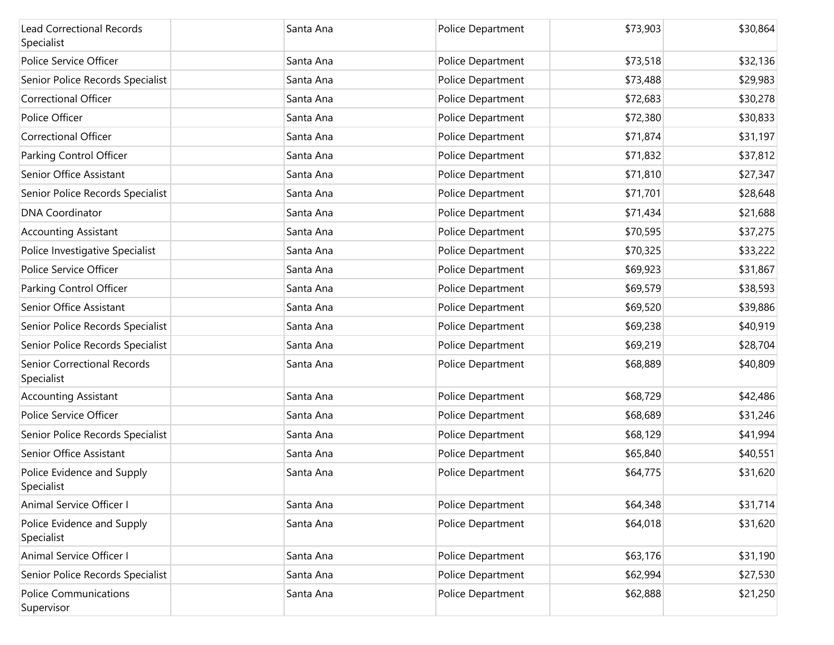| <b>Lead Correctional Records</b><br>Specialist | Santa Ana | Police Department | \$73,903 | \$30,864 |
|------------------------------------------------|-----------|-------------------|----------|----------|
| Police Service Officer                         | Santa Ana | Police Department | \$73,518 | \$32,136 |
| Senior Police Records Specialist               | Santa Ana | Police Department | \$73,488 | \$29,983 |
| <b>Correctional Officer</b>                    | Santa Ana | Police Department | \$72,683 | \$30,278 |
| Police Officer                                 | Santa Ana | Police Department | \$72,380 | \$30,833 |
| <b>Correctional Officer</b>                    | Santa Ana | Police Department | \$71,874 | \$31,197 |
| Parking Control Officer                        | Santa Ana | Police Department | \$71,832 | \$37,812 |
| Senior Office Assistant                        | Santa Ana | Police Department | \$71,810 | \$27,347 |
| Senior Police Records Specialist               | Santa Ana | Police Department | \$71,701 | \$28,648 |
| <b>DNA Coordinator</b>                         | Santa Ana | Police Department | \$71,434 | \$21,688 |
| <b>Accounting Assistant</b>                    | Santa Ana | Police Department | \$70,595 | \$37,275 |
| Police Investigative Specialist                | Santa Ana | Police Department | \$70,325 | \$33,222 |
| Police Service Officer                         | Santa Ana | Police Department | \$69,923 | \$31,867 |
| Parking Control Officer                        | Santa Ana | Police Department | \$69,579 | \$38,593 |
| Senior Office Assistant                        | Santa Ana | Police Department | \$69,520 | \$39,886 |
| Senior Police Records Specialist               | Santa Ana | Police Department | \$69,238 | \$40,919 |
| Senior Police Records Specialist               | Santa Ana | Police Department | \$69,219 | \$28,704 |
| Senior Correctional Records<br>Specialist      | Santa Ana | Police Department | \$68,889 | \$40,809 |
| <b>Accounting Assistant</b>                    | Santa Ana | Police Department | \$68,729 | \$42,486 |
| Police Service Officer                         | Santa Ana | Police Department | \$68,689 | \$31,246 |
| Senior Police Records Specialist               | Santa Ana | Police Department | \$68,129 | \$41,994 |
| Senior Office Assistant                        | Santa Ana | Police Department | \$65,840 | \$40,551 |
| Police Evidence and Supply<br>Specialist       | Santa Ana | Police Department | \$64,775 | \$31,620 |
| Animal Service Officer I                       | Santa Ana | Police Department | \$64,348 | \$31,714 |
| Police Evidence and Supply<br>Specialist       | Santa Ana | Police Department | \$64,018 | \$31,620 |
| Animal Service Officer I                       | Santa Ana | Police Department | \$63,176 | \$31,190 |
| Senior Police Records Specialist               | Santa Ana | Police Department | \$62,994 | \$27,530 |
| <b>Police Communications</b><br>Supervisor     | Santa Ana | Police Department | \$62,888 | \$21,250 |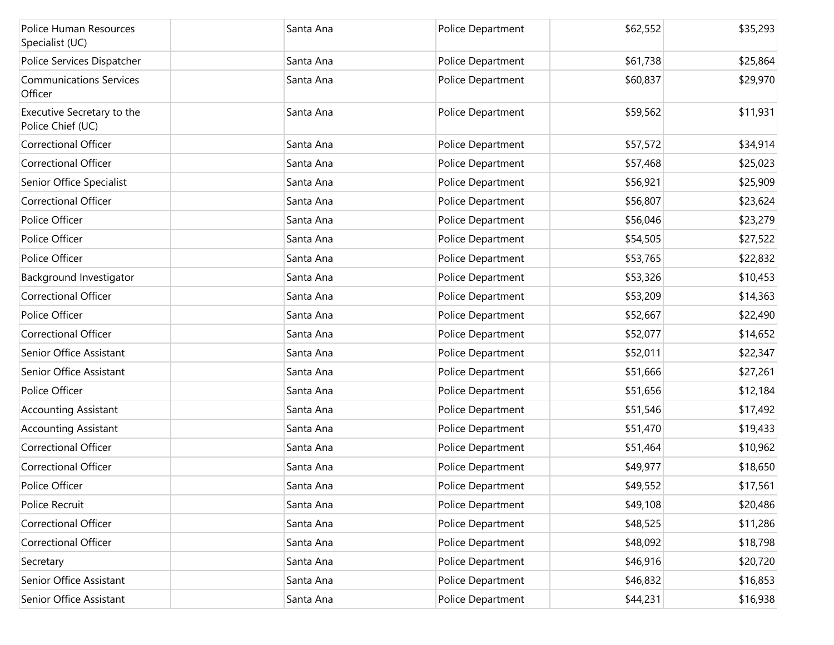| Police Human Resources<br>Specialist (UC)       | Santa Ana | Police Department | \$62,552 | \$35,293 |
|-------------------------------------------------|-----------|-------------------|----------|----------|
| Police Services Dispatcher                      | Santa Ana | Police Department | \$61,738 | \$25,864 |
| <b>Communications Services</b><br>Officer       | Santa Ana | Police Department | \$60,837 | \$29,970 |
| Executive Secretary to the<br>Police Chief (UC) | Santa Ana | Police Department | \$59,562 | \$11,931 |
| <b>Correctional Officer</b>                     | Santa Ana | Police Department | \$57,572 | \$34,914 |
| <b>Correctional Officer</b>                     | Santa Ana | Police Department | \$57,468 | \$25,023 |
| Senior Office Specialist                        | Santa Ana | Police Department | \$56,921 | \$25,909 |
| <b>Correctional Officer</b>                     | Santa Ana | Police Department | \$56,807 | \$23,624 |
| Police Officer                                  | Santa Ana | Police Department | \$56,046 | \$23,279 |
| Police Officer                                  | Santa Ana | Police Department | \$54,505 | \$27,522 |
| Police Officer                                  | Santa Ana | Police Department | \$53,765 | \$22,832 |
| Background Investigator                         | Santa Ana | Police Department | \$53,326 | \$10,453 |
| <b>Correctional Officer</b>                     | Santa Ana | Police Department | \$53,209 | \$14,363 |
| Police Officer                                  | Santa Ana | Police Department | \$52,667 | \$22,490 |
| <b>Correctional Officer</b>                     | Santa Ana | Police Department | \$52,077 | \$14,652 |
| Senior Office Assistant                         | Santa Ana | Police Department | \$52,011 | \$22,347 |
| Senior Office Assistant                         | Santa Ana | Police Department | \$51,666 | \$27,261 |
| Police Officer                                  | Santa Ana | Police Department | \$51,656 | \$12,184 |
| <b>Accounting Assistant</b>                     | Santa Ana | Police Department | \$51,546 | \$17,492 |
| <b>Accounting Assistant</b>                     | Santa Ana | Police Department | \$51,470 | \$19,433 |
| <b>Correctional Officer</b>                     | Santa Ana | Police Department | \$51,464 | \$10,962 |
| <b>Correctional Officer</b>                     | Santa Ana | Police Department | \$49,977 | \$18,650 |
| Police Officer                                  | Santa Ana | Police Department | \$49,552 | \$17,561 |
| Police Recruit                                  | Santa Ana | Police Department | \$49,108 | \$20,486 |
| <b>Correctional Officer</b>                     | Santa Ana | Police Department | \$48,525 | \$11,286 |
| Correctional Officer                            | Santa Ana | Police Department | \$48,092 | \$18,798 |
| Secretary                                       | Santa Ana | Police Department | \$46,916 | \$20,720 |
| Senior Office Assistant                         | Santa Ana | Police Department | \$46,832 | \$16,853 |
| Senior Office Assistant                         | Santa Ana | Police Department | \$44,231 | \$16,938 |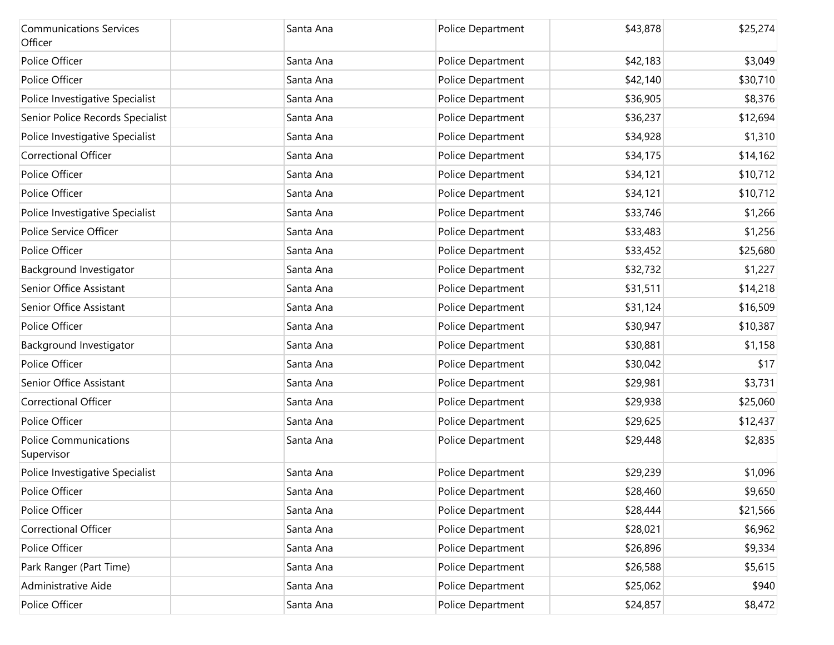| <b>Communications Services</b><br>Officer  | Santa Ana | Police Department | \$43,878 | \$25,274 |
|--------------------------------------------|-----------|-------------------|----------|----------|
| Police Officer                             | Santa Ana | Police Department | \$42,183 | \$3,049  |
| Police Officer                             | Santa Ana | Police Department | \$42,140 | \$30,710 |
| Police Investigative Specialist            | Santa Ana | Police Department | \$36,905 | \$8,376  |
| Senior Police Records Specialist           | Santa Ana | Police Department | \$36,237 | \$12,694 |
| Police Investigative Specialist            | Santa Ana | Police Department | \$34,928 | \$1,310  |
| <b>Correctional Officer</b>                | Santa Ana | Police Department | \$34,175 | \$14,162 |
| Police Officer                             | Santa Ana | Police Department | \$34,121 | \$10,712 |
| Police Officer                             | Santa Ana | Police Department | \$34,121 | \$10,712 |
| Police Investigative Specialist            | Santa Ana | Police Department | \$33,746 | \$1,266  |
| Police Service Officer                     | Santa Ana | Police Department | \$33,483 | \$1,256  |
| Police Officer                             | Santa Ana | Police Department | \$33,452 | \$25,680 |
| Background Investigator                    | Santa Ana | Police Department | \$32,732 | \$1,227  |
| Senior Office Assistant                    | Santa Ana | Police Department | \$31,511 | \$14,218 |
| Senior Office Assistant                    | Santa Ana | Police Department | \$31,124 | \$16,509 |
| Police Officer                             | Santa Ana | Police Department | \$30,947 | \$10,387 |
| Background Investigator                    | Santa Ana | Police Department | \$30,881 | \$1,158  |
| Police Officer                             | Santa Ana | Police Department | \$30,042 | \$17     |
| Senior Office Assistant                    | Santa Ana | Police Department | \$29,981 | \$3,731  |
| <b>Correctional Officer</b>                | Santa Ana | Police Department | \$29,938 | \$25,060 |
| Police Officer                             | Santa Ana | Police Department | \$29,625 | \$12,437 |
| <b>Police Communications</b><br>Supervisor | Santa Ana | Police Department | \$29,448 | \$2,835  |
| Police Investigative Specialist            | Santa Ana | Police Department | \$29,239 | \$1,096  |
| Police Officer                             | Santa Ana | Police Department | \$28,460 | \$9,650  |
| Police Officer                             | Santa Ana | Police Department | \$28,444 | \$21,566 |
| Correctional Officer                       | Santa Ana | Police Department | \$28,021 | \$6,962  |
| Police Officer                             | Santa Ana | Police Department | \$26,896 | \$9,334  |
| Park Ranger (Part Time)                    | Santa Ana | Police Department | \$26,588 | \$5,615  |
| Administrative Aide                        | Santa Ana | Police Department | \$25,062 | \$940    |
| Police Officer                             | Santa Ana | Police Department | \$24,857 | \$8,472  |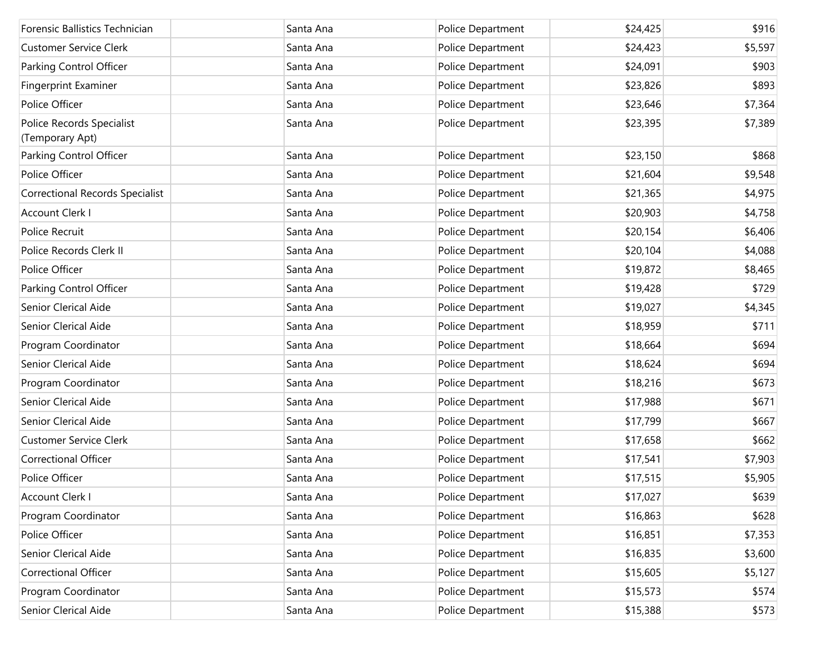| Forensic Ballistics Technician               | Santa Ana | Police Department | \$24,425 | \$916   |
|----------------------------------------------|-----------|-------------------|----------|---------|
| <b>Customer Service Clerk</b>                | Santa Ana | Police Department | \$24,423 | \$5,597 |
| Parking Control Officer                      | Santa Ana | Police Department | \$24,091 | \$903   |
| Fingerprint Examiner                         | Santa Ana | Police Department | \$23,826 | \$893   |
| Police Officer                               | Santa Ana | Police Department | \$23,646 | \$7,364 |
| Police Records Specialist<br>(Temporary Apt) | Santa Ana | Police Department | \$23,395 | \$7,389 |
| Parking Control Officer                      | Santa Ana | Police Department | \$23,150 | \$868   |
| Police Officer                               | Santa Ana | Police Department | \$21,604 | \$9,548 |
| <b>Correctional Records Specialist</b>       | Santa Ana | Police Department | \$21,365 | \$4,975 |
| <b>Account Clerk I</b>                       | Santa Ana | Police Department | \$20,903 | \$4,758 |
| Police Recruit                               | Santa Ana | Police Department | \$20,154 | \$6,406 |
| Police Records Clerk II                      | Santa Ana | Police Department | \$20,104 | \$4,088 |
| Police Officer                               | Santa Ana | Police Department | \$19,872 | \$8,465 |
| Parking Control Officer                      | Santa Ana | Police Department | \$19,428 | \$729   |
| Senior Clerical Aide                         | Santa Ana | Police Department | \$19,027 | \$4,345 |
| Senior Clerical Aide                         | Santa Ana | Police Department | \$18,959 | \$711   |
| Program Coordinator                          | Santa Ana | Police Department | \$18,664 | \$694   |
| Senior Clerical Aide                         | Santa Ana | Police Department | \$18,624 | \$694   |
| Program Coordinator                          | Santa Ana | Police Department | \$18,216 | \$673   |
| Senior Clerical Aide                         | Santa Ana | Police Department | \$17,988 | \$671   |
| Senior Clerical Aide                         | Santa Ana | Police Department | \$17,799 | \$667   |
| <b>Customer Service Clerk</b>                | Santa Ana | Police Department | \$17,658 | \$662   |
| <b>Correctional Officer</b>                  | Santa Ana | Police Department | \$17,541 | \$7,903 |
| Police Officer                               | Santa Ana | Police Department | \$17,515 | \$5,905 |
| Account Clerk I                              | Santa Ana | Police Department | \$17,027 | \$639   |
| Program Coordinator                          | Santa Ana | Police Department | \$16,863 | \$628   |
| Police Officer                               | Santa Ana | Police Department | \$16,851 | \$7,353 |
| Senior Clerical Aide                         | Santa Ana | Police Department | \$16,835 | \$3,600 |
| Correctional Officer                         | Santa Ana | Police Department | \$15,605 | \$5,127 |
| Program Coordinator                          | Santa Ana | Police Department | \$15,573 | \$574   |
| Senior Clerical Aide                         | Santa Ana | Police Department | \$15,388 | \$573   |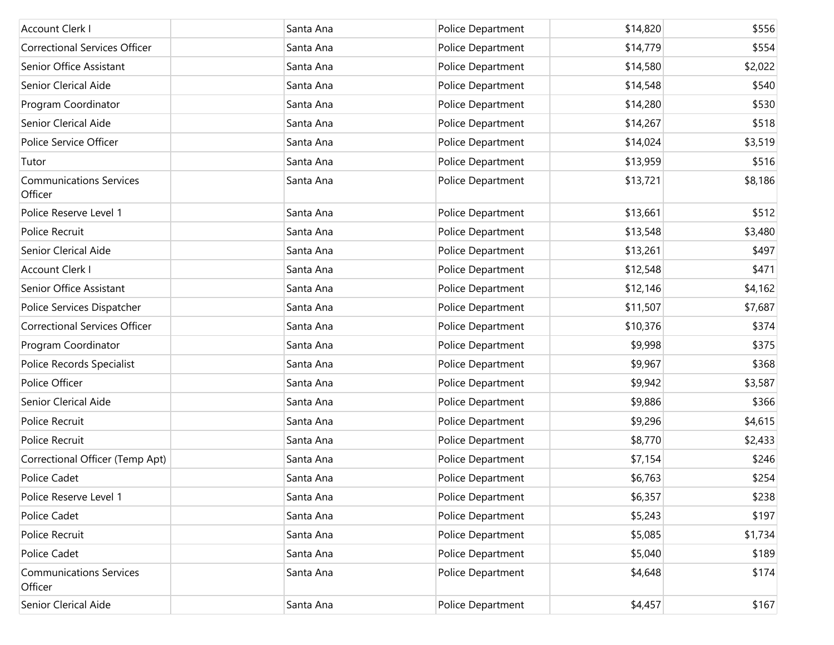| <b>Account Clerk I</b>                    | Santa Ana | Police Department | \$14,820 | \$556   |
|-------------------------------------------|-----------|-------------------|----------|---------|
| <b>Correctional Services Officer</b>      | Santa Ana | Police Department | \$14,779 | \$554   |
| Senior Office Assistant                   | Santa Ana | Police Department | \$14,580 | \$2,022 |
| Senior Clerical Aide                      | Santa Ana | Police Department | \$14,548 | \$540   |
| Program Coordinator                       | Santa Ana | Police Department | \$14,280 | \$530   |
| Senior Clerical Aide                      | Santa Ana | Police Department | \$14,267 | \$518   |
| Police Service Officer                    | Santa Ana | Police Department | \$14,024 | \$3,519 |
| Tutor                                     | Santa Ana | Police Department | \$13,959 | \$516   |
| <b>Communications Services</b><br>Officer | Santa Ana | Police Department | \$13,721 | \$8,186 |
| Police Reserve Level 1                    | Santa Ana | Police Department | \$13,661 | \$512   |
| Police Recruit                            | Santa Ana | Police Department | \$13,548 | \$3,480 |
| Senior Clerical Aide                      | Santa Ana | Police Department | \$13,261 | \$497   |
| <b>Account Clerk I</b>                    | Santa Ana | Police Department | \$12,548 | \$471   |
| Senior Office Assistant                   | Santa Ana | Police Department | \$12,146 | \$4,162 |
| Police Services Dispatcher                | Santa Ana | Police Department | \$11,507 | \$7,687 |
| <b>Correctional Services Officer</b>      | Santa Ana | Police Department | \$10,376 | \$374   |
| Program Coordinator                       | Santa Ana | Police Department | \$9,998  | \$375   |
| Police Records Specialist                 | Santa Ana | Police Department | \$9,967  | \$368   |
| Police Officer                            | Santa Ana | Police Department | \$9,942  | \$3,587 |
| Senior Clerical Aide                      | Santa Ana | Police Department | \$9,886  | \$366   |
| Police Recruit                            | Santa Ana | Police Department | \$9,296  | \$4,615 |
| Police Recruit                            | Santa Ana | Police Department | \$8,770  | \$2,433 |
| Correctional Officer (Temp Apt)           | Santa Ana | Police Department | \$7,154  | \$246   |
| Police Cadet                              | Santa Ana | Police Department | \$6,763  | \$254   |
| Police Reserve Level 1                    | Santa Ana | Police Department | \$6,357  | \$238   |
| Police Cadet                              | Santa Ana | Police Department | \$5,243  | \$197   |
| Police Recruit                            | Santa Ana | Police Department | \$5,085  | \$1,734 |
| Police Cadet                              | Santa Ana | Police Department | \$5,040  | \$189   |
| <b>Communications Services</b><br>Officer | Santa Ana | Police Department | \$4,648  | \$174   |
| Senior Clerical Aide                      | Santa Ana | Police Department | \$4,457  | \$167   |